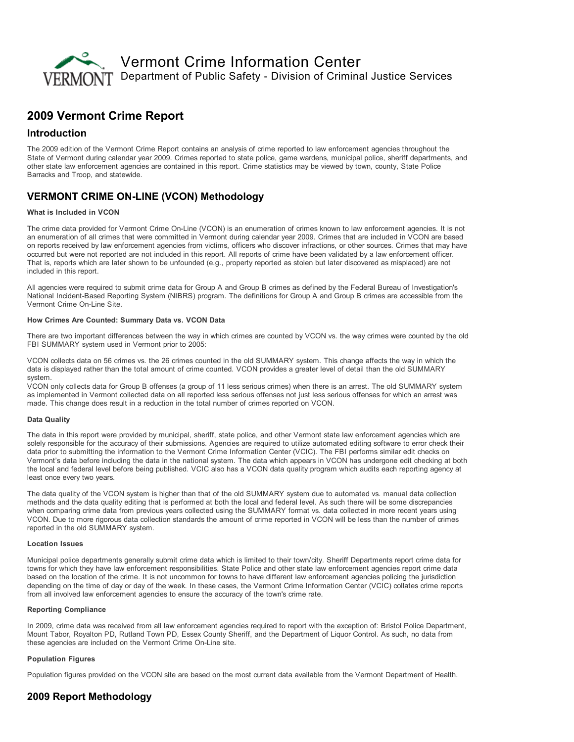

# 2009 Vermont Crime Report

## Introduction

The 2009 edition of the Vermont Crime Report contains an analysis of crime reported to law enforcement agencies throughout the State of Vermont during calendar year 2009. Crimes reported to state police, game wardens, municipal police, sheriff departments, and other state law enforcement agencies are contained in this report. Crime statistics may be viewed by town, county, State Police Barracks and Troop, and statewide.

## **VERMONT CRIME ON-LINE (VCON) Methodology**

#### What is Included in VCON

The crime data provided for Vermont Crime On-Line (VCON) is an enumeration of crimes known to law enforcement agencies. It is not an enumeration of all crimes that were committed in Vermont during calendar year 2009. Crimes that are included in VCON are based on reports received by law enforcement agencies from victims, officers who discover infractions, or other sources. Crimes that may have occurred but were not reported are not included in this report. All reports of crime have been validated by a law enforcement officer. That is, reports which are later shown to be unfounded (e.g., property reported as stolen but later discovered as misplaced) are not included in this report.

All agencies were required to submit crime data for Group A and Group B crimes as defined by the Federal Bureau of Investigation's National Incident-Based Reporting System (NIBRS) program. The definitions for Group A and Group B crimes are accessible from the Vermont Crime On-Line Site.

### How Crimes Are Counted: Summary Data vs. VCON Data

There are two important differences between the way in which crimes are counted by VCON vs. the way crimes were counted by the old FBI SUMMARY system used in Vermont prior to 2005:

VCON collects data on 56 crimes vs. the 26 crimes counted in the old SUMMARY system. This change affects the way in which the data is displayed rather than the total amount of crime counted. VCON provides a greater level of detail than the old SUMMARY system.

VCON only collects data for Group B offenses (a group of 11 less serious crimes) when there is an arrest. The old SUMMARY system as implemented in Vermont collected data on all reported less serious offenses not just less serious offenses for which an arrest was made. This change does result in a reduction in the total number of crimes reported on VCON.

#### Data Quality

The data in this report were provided by municipal, sheriff, state police, and other Vermont state law enforcement agencies which are solely responsible for the accuracy of their submissions. Agencies are required to utilize automated editing software to error check their data prior to submitting the information to the Vermont Crime Information Center (VCIC). The FBI performs similar edit checks on Vermont's data before including the data in the national system. The data which appears in VCON has undergone edit checking at both the local and federal level before being published. VCIC also has a VCON data quality program which audits each reporting agency at least once every two years.

The data quality of the VCON system is higher than that of the old SUMMARY system due to automated vs. manual data collection methods and the data quality editing that is performed at both the local and federal level. As such there will be some discrepancies when comparing crime data from previous years collected using the SUMMARY format vs. data collected in more recent years using VCON. Due to more rigorous data collection standards the amount of crime reported in VCON will be less than the number of crimes reported in the old SUMMARY system.

#### Location Issues

Municipal police departments generally submit crime data which is limited to their town/city. Sheriff Departments report crime data for towns for which they have law enforcement responsibilities. State Police and other state law enforcement agencies report crime data based on the location of the crime. It is not uncommon for towns to have different law enforcement agencies policing the jurisdiction depending on the time of day or day of the week. In these cases, the Vermont Crime Information Center (VCIC) collates crime reports from all involved law enforcement agencies to ensure the accuracy of the town's crime rate.

#### Reporting Compliance

In 2009, crime data was received from all law enforcement agencies required to report with the exception of: Bristol Police Department, Mount Tabor, Royalton PD, Rutland Town PD, Essex County Sheriff, and the Department of Liquor Control. As such, no data from these agencies are included on the Vermont Crime On-Line site.

#### Population Figures

Population figures provided on the VCON site are based on the most current data available from the Vermont Department of Health.

## 2009 Report Methodology